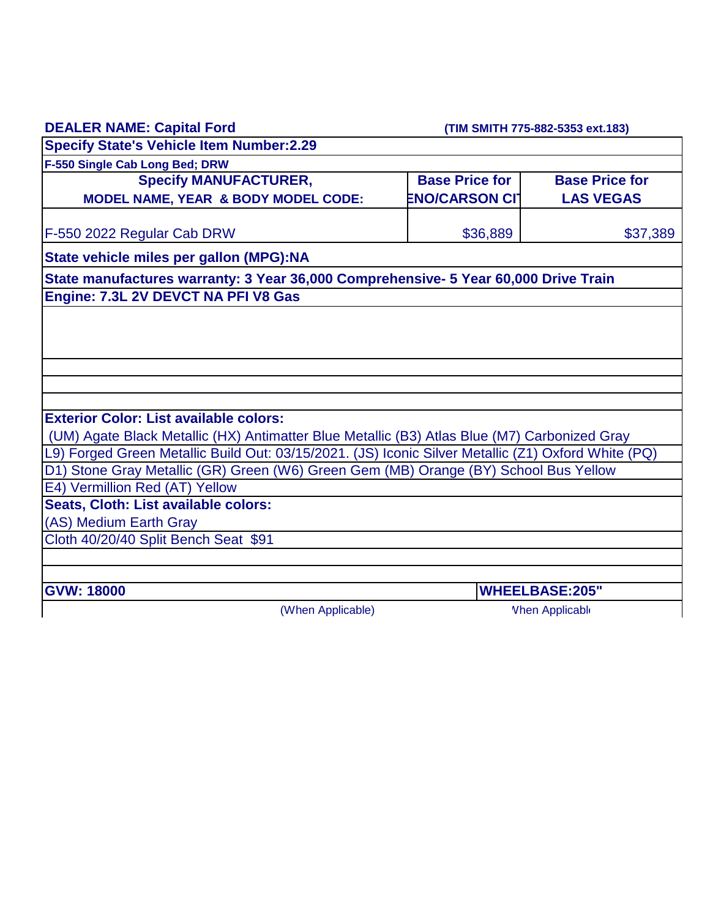| <b>DEALER NAME: Capital Ford</b> |  |
|----------------------------------|--|
|----------------------------------|--|

 **(TIM SMITH 775-882-5353 ext.183)**

| <b>Specify State's Vehicle Item Number:2.29</b>                                                     |                       |                        |  |
|-----------------------------------------------------------------------------------------------------|-----------------------|------------------------|--|
| F-550 Single Cab Long Bed; DRW                                                                      |                       |                        |  |
| <b>Specify MANUFACTURER,</b>                                                                        | <b>Base Price for</b> | <b>Base Price for</b>  |  |
| MODEL NAME, YEAR & BODY MODEL CODE:                                                                 | <b>ENO/CARSON CIT</b> | <b>LAS VEGAS</b>       |  |
|                                                                                                     |                       |                        |  |
| F-550 2022 Regular Cab DRW                                                                          | \$36,889              | \$37,389               |  |
| State vehicle miles per gallon (MPG):NA                                                             |                       |                        |  |
| State manufactures warranty: 3 Year 36,000 Comprehensive- 5 Year 60,000 Drive Train                 |                       |                        |  |
| Engine: 7.3L 2V DEVCT NA PFI V8 Gas                                                                 |                       |                        |  |
|                                                                                                     |                       |                        |  |
|                                                                                                     |                       |                        |  |
|                                                                                                     |                       |                        |  |
|                                                                                                     |                       |                        |  |
|                                                                                                     |                       |                        |  |
|                                                                                                     |                       |                        |  |
| <b>Exterior Color: List available colors:</b>                                                       |                       |                        |  |
| (UM) Agate Black Metallic (HX) Antimatter Blue Metallic (B3) Atlas Blue (M7) Carbonized Gray        |                       |                        |  |
| L9) Forged Green Metallic Build Out: 03/15/2021. (JS) Iconic Silver Metallic (Z1) Oxford White (PQ) |                       |                        |  |
| D1) Stone Gray Metallic (GR) Green (W6) Green Gem (MB) Orange (BY) School Bus Yellow                |                       |                        |  |
| E4) Vermillion Red (AT) Yellow                                                                      |                       |                        |  |
| Seats, Cloth: List available colors:                                                                |                       |                        |  |
| (AS) Medium Earth Gray                                                                              |                       |                        |  |
| Cloth 40/20/40 Split Bench Seat \$91                                                                |                       |                        |  |
|                                                                                                     |                       |                        |  |
| <b>GVW: 18000</b>                                                                                   |                       | <b>WHEELBASE:205"</b>  |  |
| (When Applicable)                                                                                   |                       | <b>Vhen Applicable</b> |  |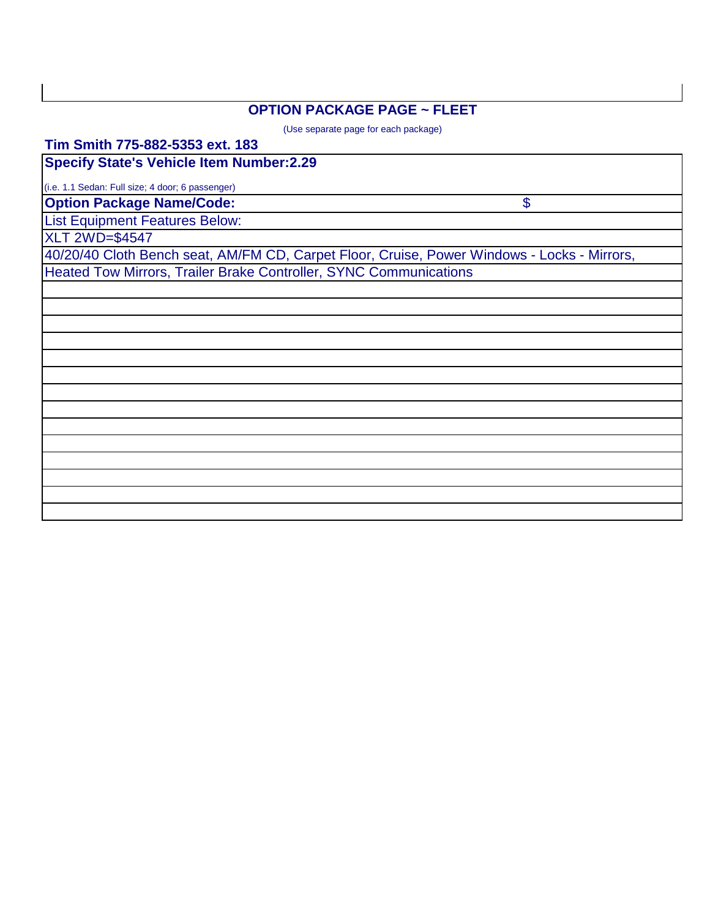## **OPTION PACKAGE PAGE ~ FLEET**

(Use separate page for each package)

\$

**Tim Smith 775-882-5353 ext. 183**

**Specify State's Vehicle Item Number:2.29**

(i.e. 1.1 Sedan: Full size; 4 door; 6 passenger)

**Option Package Name/Code:**

List Equipment Features Below:

XLT 2WD=\$4547

40/20/40 Cloth Bench seat, AM/FM CD, Carpet Floor, Cruise, Power Windows - Locks - Mirrors, Heated Tow Mirrors, Trailer Brake Controller, SYNC Communications